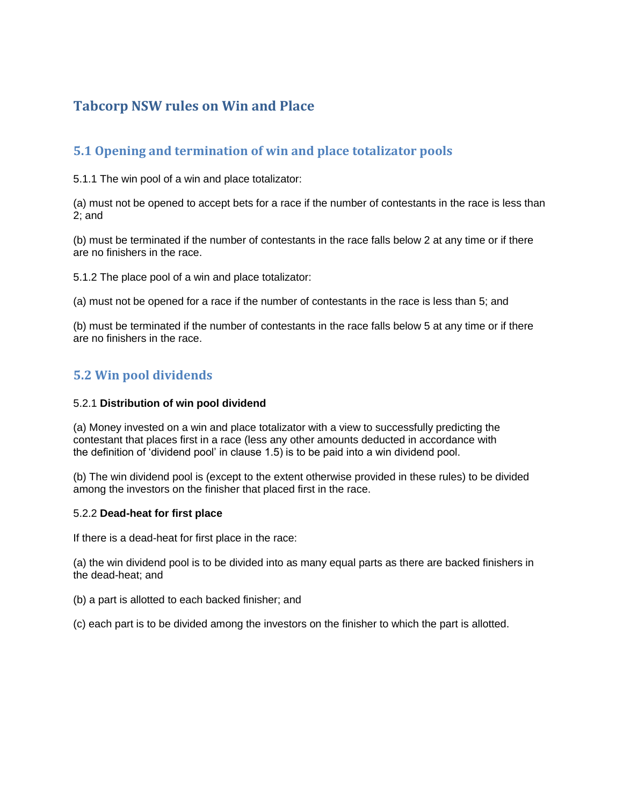# **Tabcorp NSW rules on Win and Place**

## **5.1 Opening and termination of win and place totalizator pools**

5.1.1 The win pool of a win and place totalizator:

(a) must not be opened to accept bets for a race if the number of contestants in the race is less than 2; and

(b) must be terminated if the number of contestants in the race falls below 2 at any time or if there are no finishers in the race.

5.1.2 The place pool of a win and place totalizator:

(a) must not be opened for a race if the number of contestants in the race is less than 5; and

(b) must be terminated if the number of contestants in the race falls below 5 at any time or if there are no finishers in the race.

## **5.2 Win pool dividends**

### 5.2.1 **Distribution of win pool dividend**

(a) Money invested on a win and place totalizator with a view to successfully predicting the contestant that places first in a race (less any other amounts deducted in accordance with the definition of 'dividend pool' in clause 1.5) is to be paid into a win dividend pool.

(b) The win dividend pool is (except to the extent otherwise provided in these rules) to be divided among the investors on the finisher that placed first in the race.

### 5.2.2 **Dead-heat for first place**

If there is a dead-heat for first place in the race:

(a) the win dividend pool is to be divided into as many equal parts as there are backed finishers in the dead-heat; and

(b) a part is allotted to each backed finisher; and

(c) each part is to be divided among the investors on the finisher to which the part is allotted.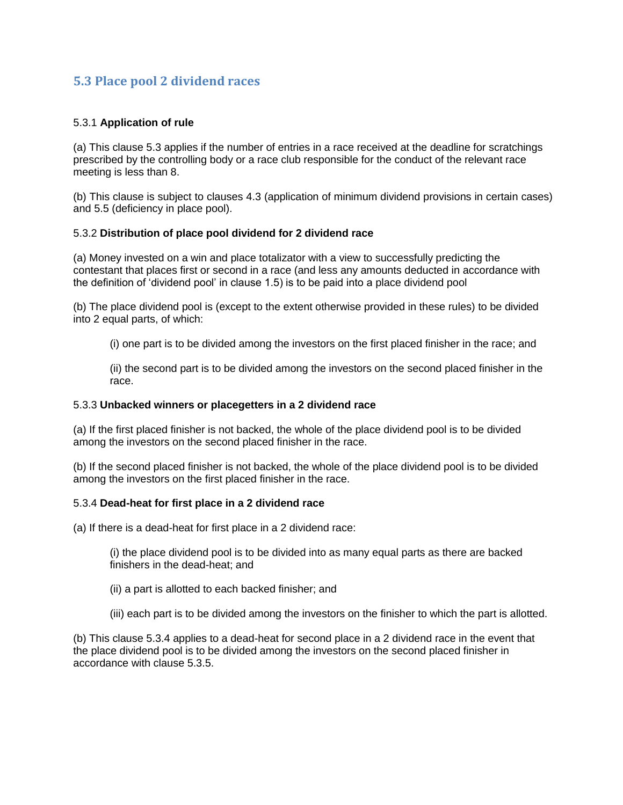## **5.3 Place pool 2 dividend races**

### 5.3.1 **Application of rule**

(a) This clause 5.3 applies if the number of entries in a race received at the deadline for scratchings prescribed by the controlling body or a race club responsible for the conduct of the relevant race meeting is less than 8.

(b) This clause is subject to clauses 4.3 (application of minimum dividend provisions in certain cases) and 5.5 (deficiency in place pool).

### 5.3.2 **Distribution of place pool dividend for 2 dividend race**

(a) Money invested on a win and place totalizator with a view to successfully predicting the contestant that places first or second in a race (and less any amounts deducted in accordance with the definition of 'dividend pool' in clause 1.5) is to be paid into a place dividend pool

(b) The place dividend pool is (except to the extent otherwise provided in these rules) to be divided into 2 equal parts, of which:

(i) one part is to be divided among the investors on the first placed finisher in the race; and

(ii) the second part is to be divided among the investors on the second placed finisher in the race.

#### 5.3.3 **Unbacked winners or placegetters in a 2 dividend race**

(a) If the first placed finisher is not backed, the whole of the place dividend pool is to be divided among the investors on the second placed finisher in the race.

(b) If the second placed finisher is not backed, the whole of the place dividend pool is to be divided among the investors on the first placed finisher in the race.

#### 5.3.4 **Dead-heat for first place in a 2 dividend race**

(a) If there is a dead-heat for first place in a 2 dividend race:

(i) the place dividend pool is to be divided into as many equal parts as there are backed finishers in the dead-heat; and

- (ii) a part is allotted to each backed finisher; and
- (iii) each part is to be divided among the investors on the finisher to which the part is allotted.

(b) This clause 5.3.4 applies to a dead-heat for second place in a 2 dividend race in the event that the place dividend pool is to be divided among the investors on the second placed finisher in accordance with clause 5.3.5.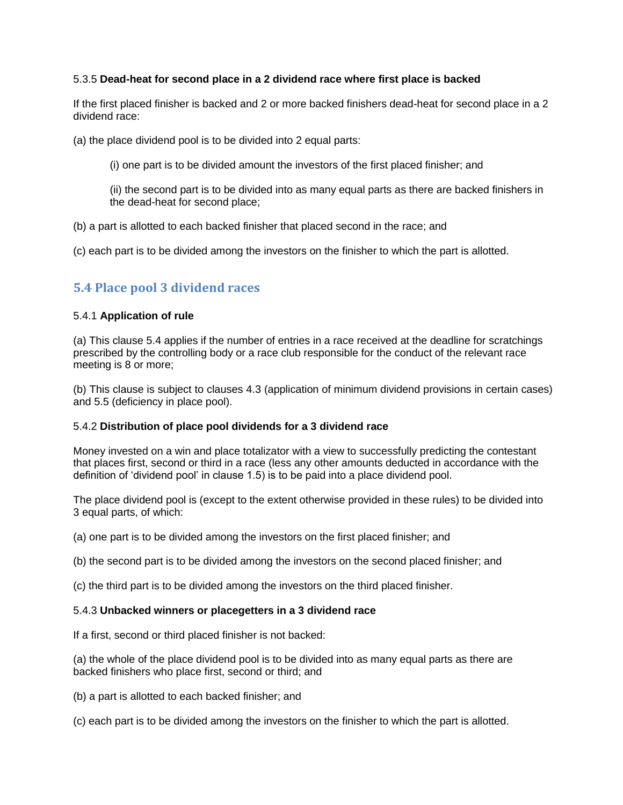### 5.3.5 **Dead-heat for second place in a 2 dividend race where first place is backed**

If the first placed finisher is backed and 2 or more backed finishers dead-heat for second place in a 2 dividend race:

(a) the place dividend pool is to be divided into 2 equal parts:

(i) one part is to be divided amount the investors of the first placed finisher; and

(ii) the second part is to be divided into as many equal parts as there are backed finishers in the dead-heat for second place;

(b) a part is allotted to each backed finisher that placed second in the race; and

(c) each part is to be divided among the investors on the finisher to which the part is allotted.

## **5.4 Place pool 3 dividend races**

### 5.4.1 **Application of rule**

(a) This clause 5.4 applies if the number of entries in a race received at the deadline for scratchings prescribed by the controlling body or a race club responsible for the conduct of the relevant race meeting is 8 or more;

(b) This clause is subject to clauses 4.3 (application of minimum dividend provisions in certain cases) and 5.5 (deficiency in place pool).

### 5.4.2 **Distribution of place pool dividends for a 3 dividend race**

Money invested on a win and place totalizator with a view to successfully predicting the contestant that places first, second or third in a race (less any other amounts deducted in accordance with the definition of 'dividend pool' in clause 1.5) is to be paid into a place dividend pool.

The place dividend pool is (except to the extent otherwise provided in these rules) to be divided into 3 equal parts, of which:

(a) one part is to be divided among the investors on the first placed finisher; and

(b) the second part is to be divided among the investors on the second placed finisher; and

(c) the third part is to be divided among the investors on the third placed finisher.

### 5.4.3 **Unbacked winners or placegetters in a 3 dividend race**

If a first, second or third placed finisher is not backed:

(a) the whole of the place dividend pool is to be divided into as many equal parts as there are backed finishers who place first, second or third; and

(b) a part is allotted to each backed finisher; and

(c) each part is to be divided among the investors on the finisher to which the part is allotted.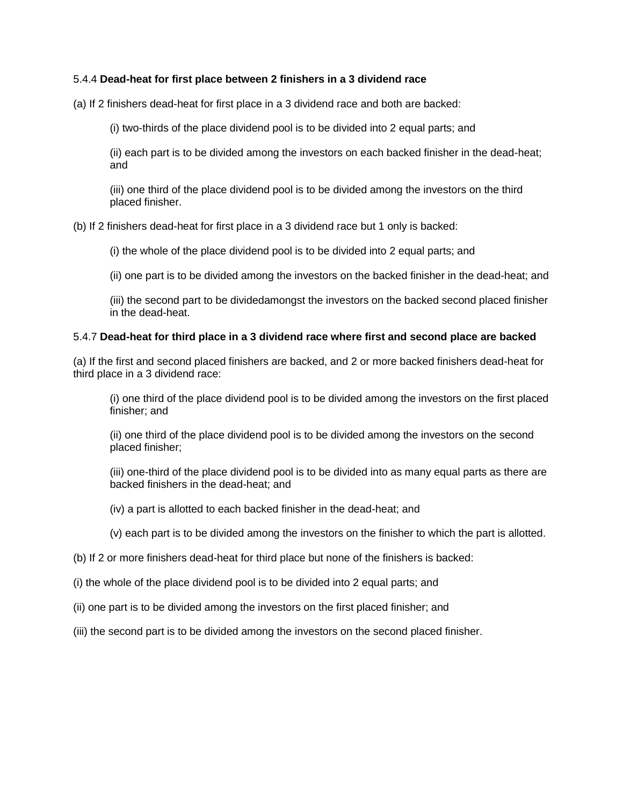### 5.4.4 **Dead-heat for first place between 2 finishers in a 3 dividend race**

(a) If 2 finishers dead-heat for first place in a 3 dividend race and both are backed:

(i) two-thirds of the place dividend pool is to be divided into 2 equal parts; and

(ii) each part is to be divided among the investors on each backed finisher in the dead-heat; and

(iii) one third of the place dividend pool is to be divided among the investors on the third placed finisher.

(b) If 2 finishers dead-heat for first place in a 3 dividend race but 1 only is backed:

(i) the whole of the place dividend pool is to be divided into 2 equal parts; and

(ii) one part is to be divided among the investors on the backed finisher in the dead-heat; and

(iii) the second part to be dividedamongst the investors on the backed second placed finisher in the dead-heat.

#### 5.4.7 **Dead-heat for third place in a 3 dividend race where first and second place are backed**

(a) If the first and second placed finishers are backed, and 2 or more backed finishers dead-heat for third place in a 3 dividend race:

(i) one third of the place dividend pool is to be divided among the investors on the first placed finisher; and

(ii) one third of the place dividend pool is to be divided among the investors on the second placed finisher;

(iii) one-third of the place dividend pool is to be divided into as many equal parts as there are backed finishers in the dead-heat; and

(iv) a part is allotted to each backed finisher in the dead-heat; and

(v) each part is to be divided among the investors on the finisher to which the part is allotted.

(b) If 2 or more finishers dead-heat for third place but none of the finishers is backed:

- (i) the whole of the place dividend pool is to be divided into 2 equal parts; and
- (ii) one part is to be divided among the investors on the first placed finisher; and
- (iii) the second part is to be divided among the investors on the second placed finisher.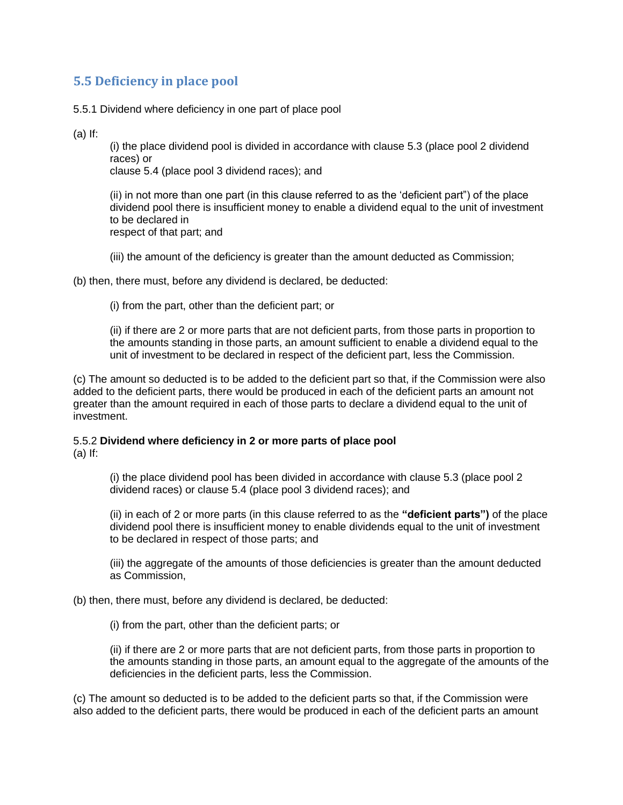### **5.5 Deficiency in place pool**

5.5.1 Dividend where deficiency in one part of place pool

(a) If:

(i) the place dividend pool is divided in accordance with clause 5.3 (place pool 2 dividend races) or

clause 5.4 (place pool 3 dividend races); and

(ii) in not more than one part (in this clause referred to as the 'deficient part") of the place dividend pool there is insufficient money to enable a dividend equal to the unit of investment to be declared in respect of that part; and

(iii) the amount of the deficiency is greater than the amount deducted as Commission;

(b) then, there must, before any dividend is declared, be deducted:

(i) from the part, other than the deficient part; or

(ii) if there are 2 or more parts that are not deficient parts, from those parts in proportion to the amounts standing in those parts, an amount sufficient to enable a dividend equal to the unit of investment to be declared in respect of the deficient part, less the Commission.

(c) The amount so deducted is to be added to the deficient part so that, if the Commission were also added to the deficient parts, there would be produced in each of the deficient parts an amount not greater than the amount required in each of those parts to declare a dividend equal to the unit of investment.

#### 5.5.2 **Dividend where deficiency in 2 or more parts of place pool** (a) If:

(i) the place dividend pool has been divided in accordance with clause 5.3 (place pool 2 dividend races) or clause 5.4 (place pool 3 dividend races); and

(ii) in each of 2 or more parts (in this clause referred to as the **"deficient parts")** of the place dividend pool there is insufficient money to enable dividends equal to the unit of investment to be declared in respect of those parts; and

(iii) the aggregate of the amounts of those deficiencies is greater than the amount deducted as Commission,

(b) then, there must, before any dividend is declared, be deducted:

(i) from the part, other than the deficient parts; or

(ii) if there are 2 or more parts that are not deficient parts, from those parts in proportion to the amounts standing in those parts, an amount equal to the aggregate of the amounts of the deficiencies in the deficient parts, less the Commission.

(c) The amount so deducted is to be added to the deficient parts so that, if the Commission were also added to the deficient parts, there would be produced in each of the deficient parts an amount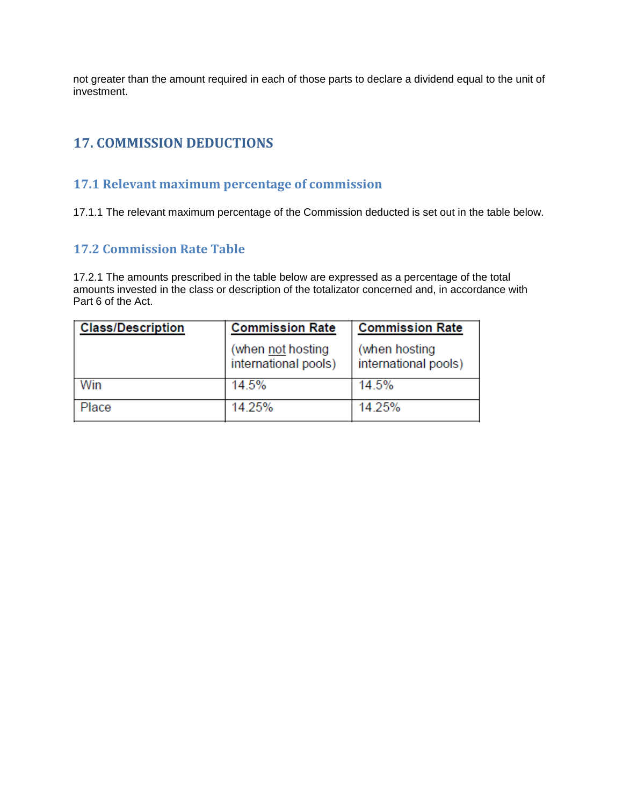not greater than the amount required in each of those parts to declare a dividend equal to the unit of investment.

# **17. COMMISSION DEDUCTIONS**

### **17.1 Relevant maximum percentage of commission**

17.1.1 The relevant maximum percentage of the Commission deducted is set out in the table below.

### **17.2 Commission Rate Table**

17.2.1 The amounts prescribed in the table below are expressed as a percentage of the total amounts invested in the class or description of the totalizator concerned and, in accordance with Part 6 of the Act.

| <b>Class/Description</b> | <b>Commission Rate</b>                    | <b>Commission Rate</b>                |
|--------------------------|-------------------------------------------|---------------------------------------|
|                          | (when not hosting<br>international pools) | (when hosting<br>international pools) |
| Win                      | 14.5%                                     | 14.5%                                 |
| Place                    | 14.25%                                    | 14.25%                                |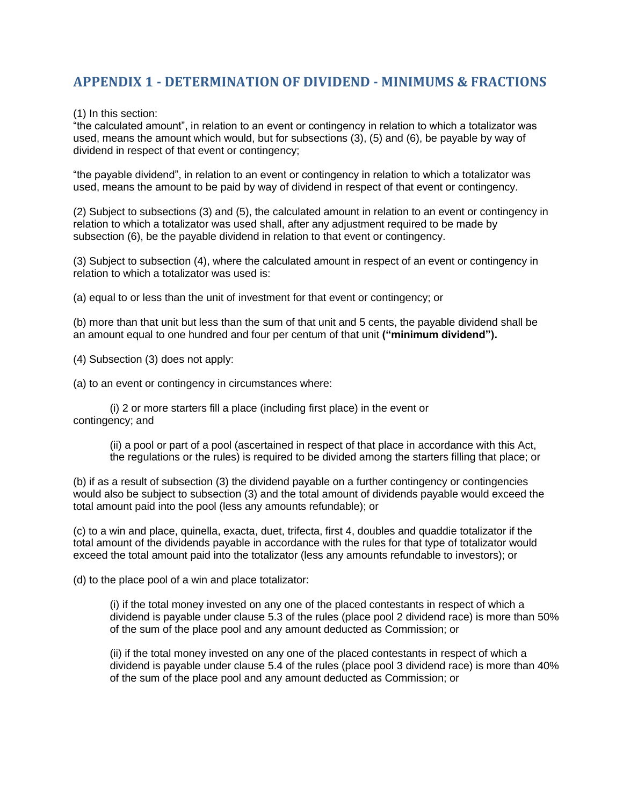## **APPENDIX 1 - DETERMINATION OF DIVIDEND - MINIMUMS & FRACTIONS**

(1) In this section:

"the calculated amount", in relation to an event or contingency in relation to which a totalizator was used, means the amount which would, but for subsections (3), (5) and (6), be payable by way of dividend in respect of that event or contingency;

"the payable dividend", in relation to an event or contingency in relation to which a totalizator was used, means the amount to be paid by way of dividend in respect of that event or contingency.

(2) Subject to subsections (3) and (5), the calculated amount in relation to an event or contingency in relation to which a totalizator was used shall, after any adjustment required to be made by subsection (6), be the payable dividend in relation to that event or contingency.

(3) Subject to subsection (4), where the calculated amount in respect of an event or contingency in relation to which a totalizator was used is:

(a) equal to or less than the unit of investment for that event or contingency; or

(b) more than that unit but less than the sum of that unit and 5 cents, the payable dividend shall be an amount equal to one hundred and four per centum of that unit **("minimum dividend").**

(4) Subsection (3) does not apply:

(a) to an event or contingency in circumstances where:

(i) 2 or more starters fill a place (including first place) in the event or contingency; and

> (ii) a pool or part of a pool (ascertained in respect of that place in accordance with this Act, the regulations or the rules) is required to be divided among the starters filling that place; or

(b) if as a result of subsection (3) the dividend payable on a further contingency or contingencies would also be subject to subsection (3) and the total amount of dividends payable would exceed the total amount paid into the pool (less any amounts refundable); or

(c) to a win and place, quinella, exacta, duet, trifecta, first 4, doubles and quaddie totalizator if the total amount of the dividends payable in accordance with the rules for that type of totalizator would exceed the total amount paid into the totalizator (less any amounts refundable to investors); or

(d) to the place pool of a win and place totalizator:

(i) if the total money invested on any one of the placed contestants in respect of which a dividend is payable under clause 5.3 of the rules (place pool 2 dividend race) is more than 50% of the sum of the place pool and any amount deducted as Commission; or

(ii) if the total money invested on any one of the placed contestants in respect of which a dividend is payable under clause 5.4 of the rules (place pool 3 dividend race) is more than 40% of the sum of the place pool and any amount deducted as Commission; or